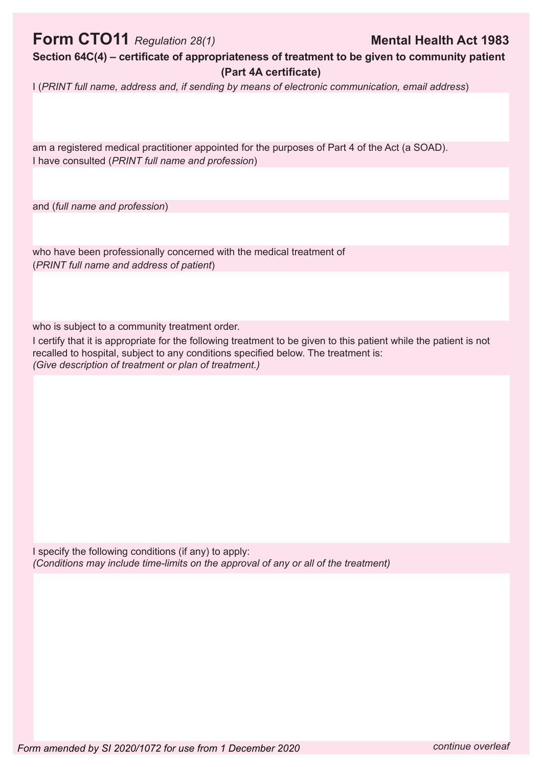## **Form CTO11** Regulation 28(1) **Mental Health Act 1983**

Section 64C(4) – certificate of appropriateness of treatment to be given to community patient **(Part 4A certificate)** 

I (*PRINT full name, address and, if sending by means of electronic communication, email address*)

am a registered medical practitioner appointed for the purposes of Part 4 of the Act (a SOAD). I have consulted (*PRINT full name and profession*)

and (*full name and profession*)

who have been professionally concerned with the medical treatment of (*PRINT full name and address of patient*)

who is subject to a community treatment order.

I certify that it is appropriate for the following treatment to be given to this patient while the patient is not recalled to hospital, subject to any conditions specified below. The treatment is: *(Give description of treatment or plan of treatment.)*

I specify the following conditions (if any) to apply: *(Conditions may include time-limits on the approval of any or all of the treatment)*